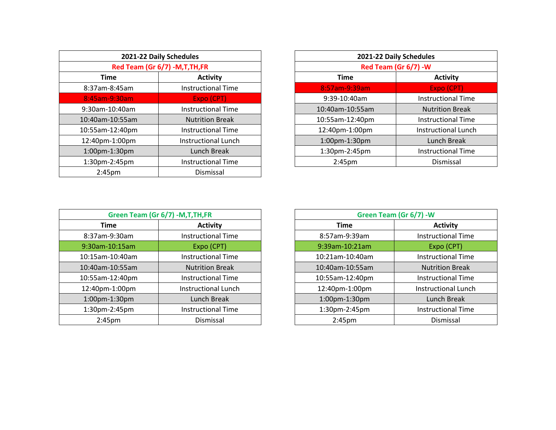| 2021-22 Daily Schedules |                                  |                    | 2021-22 Daily Schedules    |
|-------------------------|----------------------------------|--------------------|----------------------------|
|                         | Red Team (Gr 6/7) - M, T, TH, FR |                    | Red Team (Gr 6/7) - W      |
| <b>Time</b>             | <b>Activity</b>                  | <b>Time</b>        | <b>Activity</b>            |
| 8:37am-8:45am           | <b>Instructional Time</b>        | 8:57am-9:39am      | Expo (CPT)                 |
| 8:45am-9:30am           | Expo (CPT)                       | 9:39-10:40am       | <b>Instructional Time</b>  |
| 9:30am-10:40am          | <b>Instructional Time</b>        | 10:40am-10:55am    | <b>Nutrition Break</b>     |
| 10:40am-10:55am         | <b>Nutrition Break</b>           | 10:55am-12:40pm    | <b>Instructional Time</b>  |
| 10:55am-12:40pm         | Instructional Time               | 12:40pm-1:00pm     | <b>Instructional Lunch</b> |
| 12:40pm-1:00pm          | <b>Instructional Lunch</b>       | 1:00pm-1:30pm      | Lunch Break                |
| 1:00pm-1:30pm           | Lunch Break                      | 1:30pm-2:45pm      | <b>Instructional Time</b>  |
| 1:30pm-2:45pm           | <b>Instructional Time</b>        | 2:45 <sub>pm</sub> | Dismissal                  |
| 2:45 <sub>pm</sub>      | Dismissal                        |                    |                            |

| 2021-22 Daily Schedules |                                  | 2021-22 Daily Schedules |                            |  |  |
|-------------------------|----------------------------------|-------------------------|----------------------------|--|--|
|                         | Red Team (Gr 6/7) - M, T, TH, FR |                         | Red Team (Gr 6/7) - W      |  |  |
| <b>Time</b>             | <b>Activity</b>                  | <b>Time</b>             | <b>Activity</b>            |  |  |
| 8:37am-8:45am           | <b>Instructional Time</b>        | 8:57am-9:39am           | Expo (CPT)                 |  |  |
| 8:45am-9:30am           | Expo (CPT)                       | 9:39-10:40am            | <b>Instructional Time</b>  |  |  |
| 9:30am-10:40am          | <b>Instructional Time</b>        | 10:40am-10:55am         | <b>Nutrition Break</b>     |  |  |
| 0:40am-10:55am          | <b>Nutrition Break</b>           | 10:55am-12:40pm         | <b>Instructional Time</b>  |  |  |
| 0:55am-12:40pm          | <b>Instructional Time</b>        | 12:40pm-1:00pm          | <b>Instructional Lunch</b> |  |  |
| 2:40pm-1:00pm           | <b>Instructional Lunch</b>       | 1:00pm-1:30pm           | Lunch Break                |  |  |
| 1:00pm-1:30pm           | Lunch Break                      | 1:30pm-2:45pm           | <b>Instructional Time</b>  |  |  |
| 1:30pm-2:45pm           | <b>Instructional Time</b>        | 2:45 <sub>pm</sub>      | Dismissal                  |  |  |
|                         |                                  |                         |                            |  |  |

| Green Team (Gr 6/7) - M, T, TH, FR |                            |                    | Green Team (Gr 6/7) - W   |
|------------------------------------|----------------------------|--------------------|---------------------------|
| <b>Time</b>                        | <b>Activity</b>            | Time               | <b>Activity</b>           |
| 8:37am-9:30am                      | <b>Instructional Time</b>  | 8:57am-9:39am      | <b>Instructional Time</b> |
| 9:30am-10:15am                     | Expo (CPT)                 | 9:39am-10:21am     | Expo (CPT)                |
| 10:15am-10:40am                    | <b>Instructional Time</b>  | 10:21am-10:40am    | <b>Instructional Time</b> |
| 10:40am-10:55am                    | <b>Nutrition Break</b>     | 10:40am-10:55am    | <b>Nutrition Break</b>    |
| 10:55am-12:40pm                    | <b>Instructional Time</b>  | 10:55am-12:40pm    | <b>Instructional Time</b> |
| 12:40pm-1:00pm                     | <b>Instructional Lunch</b> | 12:40pm-1:00pm     | Instructional Lunch       |
| 1:00pm-1:30pm                      | Lunch Break                | 1:00pm-1:30pm      | Lunch Break               |
| 1:30pm-2:45pm                      | <b>Instructional Time</b>  | 1:30pm-2:45pm      | <b>Instructional Time</b> |
| 2:45 <sub>pm</sub>                 | Dismissal                  | 2:45 <sub>pm</sub> | Dismissal                 |

| Green Team (Gr 6/7) -M, T, TH, FR |                           | Green Team (Gr 6/7) - W |                            |  |
|-----------------------------------|---------------------------|-------------------------|----------------------------|--|
| Time                              | <b>Activity</b>           | <b>Time</b>             | <b>Activity</b>            |  |
| 8:37am-9:30am                     | <b>Instructional Time</b> | 8:57am-9:39am           | <b>Instructional Time</b>  |  |
| 9:30am-10:15am                    | Expo (CPT)                | 9:39am-10:21am          | Expo (CPT)                 |  |
| 10:15am-10:40am                   | <b>Instructional Time</b> | 10:21am-10:40am         | <b>Instructional Time</b>  |  |
| 10:40am-10:55am                   | <b>Nutrition Break</b>    | 10:40am-10:55am         | <b>Nutrition Break</b>     |  |
| 10:55am-12:40pm                   | <b>Instructional Time</b> | 10:55am-12:40pm         | <b>Instructional Time</b>  |  |
| 12:40pm-1:00pm                    | Instructional Lunch       | 12:40pm-1:00pm          | <b>Instructional Lunch</b> |  |
| 1:00pm-1:30pm                     | Lunch Break               | 1:00pm-1:30pm           | Lunch Break                |  |
| 1:30pm-2:45pm                     | <b>Instructional Time</b> | 1:30pm-2:45pm           | <b>Instructional Time</b>  |  |
| 2:45 <sub>pm</sub>                | Dismissal                 | 2:45 <sub>pm</sub>      | Dismissal                  |  |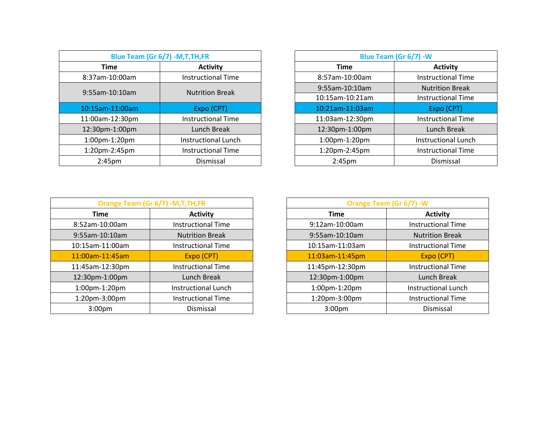| Blue Team (Gr 6/7) -M, T, TH, FR |                            |  |                    | Blue Team (Gr 6/7) - W    |
|----------------------------------|----------------------------|--|--------------------|---------------------------|
| <b>Time</b>                      | <b>Activity</b>            |  | <b>Time</b>        | <b>Activity</b>           |
| 8:37am-10:00am                   | <b>Instructional Time</b>  |  | 8:57am-10:00am     | <b>Instructional Time</b> |
| 9:55am-10:10am                   |                            |  | 9:55am-10:10am     | <b>Nutrition Break</b>    |
|                                  | <b>Nutrition Break</b>     |  | 10:15am-10:21am    | <b>Instructional Time</b> |
| 10:15am-11:00am                  | Expo (CPT)                 |  | 10:21am-11:03am    | Expo (CPT)                |
| 11:00am-12:30pm                  | <b>Instructional Time</b>  |  | 11:03am-12:30pm    | <b>Instructional Time</b> |
| 12:30pm-1:00pm                   | Lunch Break                |  | 12:30pm-1:00pm     | Lunch Break               |
| 1:00pm-1:20pm                    | <b>Instructional Lunch</b> |  | 1:00pm-1:20pm      | Instructional Lunch       |
| 1:20pm-2:45pm                    | <b>Instructional Time</b>  |  | 1:20pm-2:45pm      | <b>Instructional Time</b> |
| 2:45 <sub>pm</sub>               | Dismissal                  |  | 2:45 <sub>pm</sub> | Dismissal                 |

| Blue Team (Gr 6/7) - M, T, TH, FR |                        | Blue Team (Gr 6/7) - W |                           |  |
|-----------------------------------|------------------------|------------------------|---------------------------|--|
| <b>Activity</b>                   |                        | <b>Time</b>            | <b>Activity</b>           |  |
| <b>Instructional Time</b>         |                        | 8:57am-10:00am         | <b>Instructional Time</b> |  |
|                                   |                        | 9:55am-10:10am         | <b>Nutrition Break</b>    |  |
|                                   |                        | 10:15am-10:21am        | <b>Instructional Time</b> |  |
| Expo (CPT)                        |                        | 10:21am-11:03am        | Expo (CPT)                |  |
| <b>Instructional Time</b>         |                        | 11:03am-12:30pm        | <b>Instructional Time</b> |  |
| Lunch Break                       |                        | 12:30pm-1:00pm         | Lunch Break               |  |
| Instructional Lunch               |                        | 1:00pm-1:20pm          | Instructional Lunch       |  |
| <b>Instructional Time</b>         |                        | 1:20pm-2:45pm          | <b>Instructional Time</b> |  |
| Dismissal                         |                        | 2:45 <sub>pm</sub>     | Dismissal                 |  |
|                                   | <b>Nutrition Break</b> |                        |                           |  |

| Orange Team (Gr 6/7) - M, T, TH, FR |                            |                    | Orange Team (Gr 6/7) - W   |
|-------------------------------------|----------------------------|--------------------|----------------------------|
| <b>Time</b>                         | <b>Activity</b>            | <b>Time</b>        | <b>Activity</b>            |
| 8:52am-10:00am                      | <b>Instructional Time</b>  | 9:12am-10:00am     | <b>Instructional Time</b>  |
| 9:55am-10:10am                      | <b>Nutrition Break</b>     | 9:55am-10:10am     | <b>Nutrition Break</b>     |
| 10:15am-11:00am                     | <b>Instructional Time</b>  | 10:15am-11:03am    | <b>Instructional Time</b>  |
| 11:00am-11:45am                     | Expo (CPT)                 | 11:03am-11:45pm    | Expo (CPT)                 |
| 11:45am-12:30pm                     | <b>Instructional Time</b>  | 11:45pm-12:30pm    | <b>Instructional Time</b>  |
| 12:30pm-1:00pm                      | Lunch Break                | 12:30pm-1:00pm     | Lunch Break                |
| 1:00pm-1:20pm                       | <b>Instructional Lunch</b> | 1:00pm-1:20pm      | <b>Instructional Lunch</b> |
| 1:20pm-3:00pm                       | <b>Instructional Time</b>  | 1:20pm-3:00pm      | <b>Instructional Time</b>  |
| 3:00 <sub>pm</sub>                  | Dismissal                  | 3:00 <sub>pm</sub> | Dismissal                  |

| Orange Team (Gr 6/7) - M, T, TH, FR |                           |                    | Orange Team (Gr 6/7) - W  |
|-------------------------------------|---------------------------|--------------------|---------------------------|
| Time                                | <b>Activity</b>           | <b>Time</b>        | <b>Activity</b>           |
| 3:52am-10:00am                      | <b>Instructional Time</b> | 9:12am-10:00am     | <b>Instructional Time</b> |
| 9:55am-10:10am                      | <b>Nutrition Break</b>    | 9:55am-10:10am     | <b>Nutrition Break</b>    |
| 0:15am-11:00am                      | <b>Instructional Time</b> | 10:15am-11:03am    | <b>Instructional Time</b> |
| 1:00am-11:45am                      | Expo (CPT)                | 11:03am-11:45pm    | Expo (CPT)                |
| 1:45am-12:30pm                      | <b>Instructional Time</b> | 11:45pm-12:30pm    | <b>Instructional Time</b> |
| L2:30pm-1:00pm                      | Lunch Break               | 12:30pm-1:00pm     | Lunch Break               |
| 1:00pm-1:20pm                       | Instructional Lunch       | 1:00pm-1:20pm      | Instructional Lunch       |
| 1:20pm-3:00pm                       | <b>Instructional Time</b> | 1:20pm-3:00pm      | <b>Instructional Time</b> |
| 3:00 <sub>pm</sub>                  | Dismissal                 | 3:00 <sub>pm</sub> | Dismissal                 |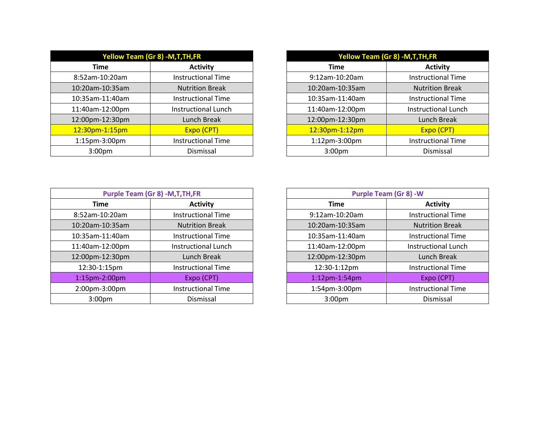|                    | <b>Yellow Team (Gr 8) -M, T, TH, FR</b> |
|--------------------|-----------------------------------------|
| <b>Time</b>        | <b>Activity</b>                         |
| 8:52am-10:20am     | <b>Instructional Time</b>               |
| 10:20am-10:35am    | <b>Nutrition Break</b>                  |
| 10:35am-11:40am    | <b>Instructional Time</b>               |
| 11:40am-12:00pm    | <b>Instructional Lunch</b>              |
| 12:00pm-12:30pm    | Lunch Break                             |
| 12:30pm-1:15pm     | Expo (CPT)                              |
| 1:15pm-3:00pm      | <b>Instructional Time</b>               |
| 3:00 <sub>pm</sub> | Dismissal                               |

| Yellow Team (Gr 8) -M,T,TH,FR |                            | Yellow Team (Gr 8) -M, T, TH, FR |                            |
|-------------------------------|----------------------------|----------------------------------|----------------------------|
| Time                          | <b>Activity</b>            | Time                             | <b>Activity</b>            |
| n-10:20am                     | <b>Instructional Time</b>  | 9:12am-10:20am                   | <b>Instructional Time</b>  |
| m-10:35am                     | <b>Nutrition Break</b>     | 10:20am-10:35am                  | <b>Nutrition Break</b>     |
| m-11:40am                     | <b>Instructional Time</b>  | 10:35am-11:40am                  | <b>Instructional Time</b>  |
| m-12:00pm                     | <b>Instructional Lunch</b> | 11:40am-12:00pm                  | <b>Instructional Lunch</b> |
| m-12:30pm                     | Lunch Break                | 12:00pm-12:30pm                  | Lunch Break                |
| <mark>om-1:15pm</mark>        | Expo (CPT)                 | 12:30pm-1:12pm                   | Expo (CPT)                 |
| m-3:00pm                      | <b>Instructional Time</b>  | 1:12pm-3:00pm                    | <b>Instructional Time</b>  |
| :00pm                         | Dismissal                  | 3:00 <sub>pm</sub>               | Dismissal                  |

| <b>Purple Team (Gr 8) -M, T, TH, FR</b> |                            |                      |                            |  | <b>Purple Team (Gr 8) -W</b> |
|-----------------------------------------|----------------------------|----------------------|----------------------------|--|------------------------------|
| Time                                    | <b>Activity</b>            | <b>Time</b>          | <b>Activity</b>            |  |                              |
| 8:52am-10:20am                          | <b>Instructional Time</b>  | 9:12am-10:20am       | <b>Instructional Time</b>  |  |                              |
| 10:20am-10:35am                         | <b>Nutrition Break</b>     | 10:20am-10:35am      | <b>Nutrition Break</b>     |  |                              |
| 10:35am-11:40am                         | Instructional Time         | 10:35am-11:40am      | <b>Instructional Time</b>  |  |                              |
| 11:40am-12:00pm                         | <b>Instructional Lunch</b> | 11:40am-12:00pm      | <b>Instructional Lunch</b> |  |                              |
| 12:00pm-12:30pm                         | Lunch Break                | 12:00pm-12:30pm      | Lunch Break                |  |                              |
| 12:30-1:15pm                            | <b>Instructional Time</b>  | 12:30-1:12pm         | <b>Instructional Time</b>  |  |                              |
| 1:15pm-2:00pm                           | Expo (CPT)                 | $1:12$ pm- $1:54$ pm | Expo (CPT)                 |  |                              |
| 2:00pm-3:00pm                           | <b>Instructional Time</b>  | 1:54pm-3:00pm        | <b>Instructional Time</b>  |  |                              |
| 3:00 <sub>pm</sub>                      | Dismissal                  | 3:00 <sub>pm</sub>   | Dismissal                  |  |                              |

| <b>Purple Team (Gr 8) -M, T, TH, FR</b> |                           | <b>Purple Team (Gr 8) -W</b> |                            |  |
|-----------------------------------------|---------------------------|------------------------------|----------------------------|--|
| Time                                    | <b>Activity</b>           | <b>Time</b>                  | <b>Activity</b>            |  |
| 3:52am-10:20am                          | <b>Instructional Time</b> | 9:12am-10:20am               | <b>Instructional Time</b>  |  |
| $0:20$ am-10:35am                       | <b>Nutrition Break</b>    | 10:20am-10:35am              | <b>Nutrition Break</b>     |  |
| 0:35am-11:40am                          | <b>Instructional Time</b> | 10:35am-11:40am              | <b>Instructional Time</b>  |  |
| 1:40am-12:00pm                          | Instructional Lunch       | 11:40am-12:00pm              | <b>Instructional Lunch</b> |  |
| 2:00pm-12:30pm                          | Lunch Break               | 12:00pm-12:30pm              | Lunch Break                |  |
| 12:30-1:15pm                            | <b>Instructional Time</b> | 12:30-1:12pm                 | <b>Instructional Time</b>  |  |
| 1:15pm-2:00pm                           | Expo (CPT)                | $1:12$ pm- $1:54$ pm         | Expo (CPT)                 |  |
| 2:00pm-3:00pm                           | <b>Instructional Time</b> | 1:54pm-3:00pm                | <b>Instructional Time</b>  |  |
| 3:00 <sub>pm</sub>                      | Dismissal                 | 3:00 <sub>pm</sub>           | Dismissal                  |  |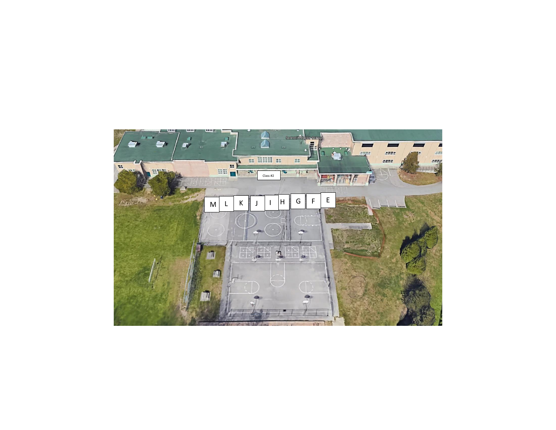